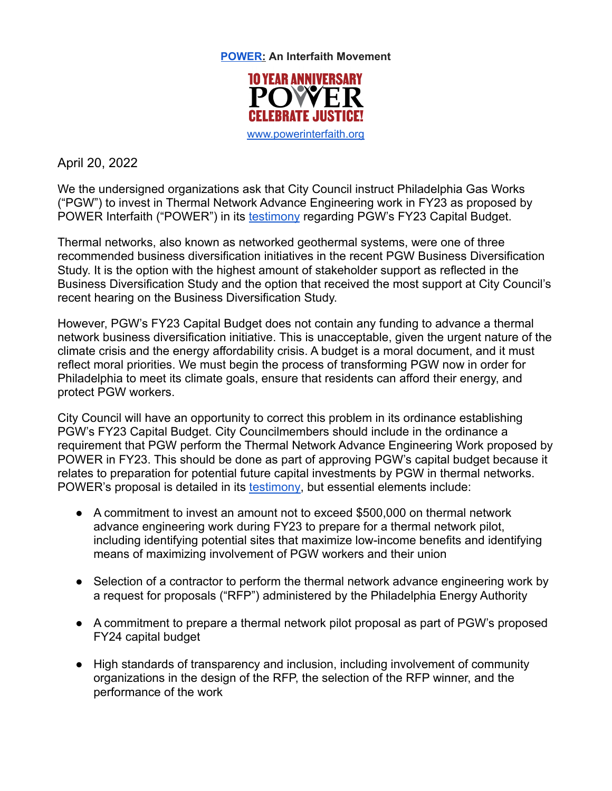

**POWER: An Interfaith Movement**

[www.powerinterfaith.org](http://www.powerinterfaith.org)

April 20, 2022

We the undersigned organizations ask that City Council instruct Philadelphia Gas Works ("PGW") to invest in Thermal Network Advance Engineering work in FY23 as proposed by POWER Interfaith ("POWER") in its [testimony](https://www.dropbox.com/s/pp1zrq6v1ngtdjl/Direct%20Testimony%20of%20Mark%20Kleinginna.pdf?dl=0) regarding PGW's FY23 Capital Budget.

Thermal networks, also known as networked geothermal systems, were one of three recommended business diversification initiatives in the recent PGW Business Diversification Study. It is the option with the highest amount of stakeholder support as reflected in the Business Diversification Study and the option that received the most support at City Council's recent hearing on the Business Diversification Study.

However, PGW's FY23 Capital Budget does not contain any funding to advance a thermal network business diversification initiative. This is unacceptable, given the urgent nature of the climate crisis and the energy affordability crisis. A budget is a moral document, and it must reflect moral priorities. We must begin the process of transforming PGW now in order for Philadelphia to meet its climate goals, ensure that residents can afford their energy, and protect PGW workers.

City Council will have an opportunity to correct this problem in its ordinance establishing PGW's FY23 Capital Budget. City Councilmembers should include in the ordinance a requirement that PGW perform the Thermal Network Advance Engineering Work proposed by POWER in FY23. This should be done as part of approving PGW's capital budget because it relates to preparation for potential future capital investments by PGW in thermal networks. POWER's proposal is detailed in its [testimony,](https://www.dropbox.com/s/pp1zrq6v1ngtdjl/Direct%20Testimony%20of%20Mark%20Kleinginna.pdf?dl=0) but essential elements include:

- A commitment to invest an amount not to exceed \$500,000 on thermal network advance engineering work during FY23 to prepare for a thermal network pilot, including identifying potential sites that maximize low-income benefits and identifying means of maximizing involvement of PGW workers and their union
- Selection of a contractor to perform the thermal network advance engineering work by a request for proposals ("RFP") administered by the Philadelphia Energy Authority
- A commitment to prepare a thermal network pilot proposal as part of PGW's proposed FY24 capital budget
- High standards of transparency and inclusion, including involvement of community organizations in the design of the RFP, the selection of the RFP winner, and the performance of the work